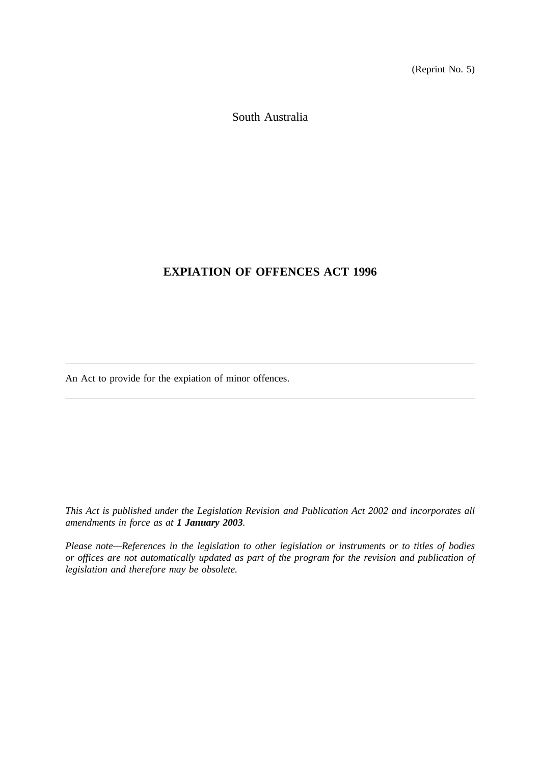(Reprint No. 5)

South Australia

# **EXPIATION OF OFFENCES ACT 1996**

An Act to provide for the expiation of minor offences.

*This Act is published under the Legislation Revision and Publication Act 2002 and incorporates all amendments in force as at 1 January 2003.*

*Please note—References in the legislation to other legislation or instruments or to titles of bodies or offices are not automatically updated as part of the program for the revision and publication of legislation and therefore may be obsolete.*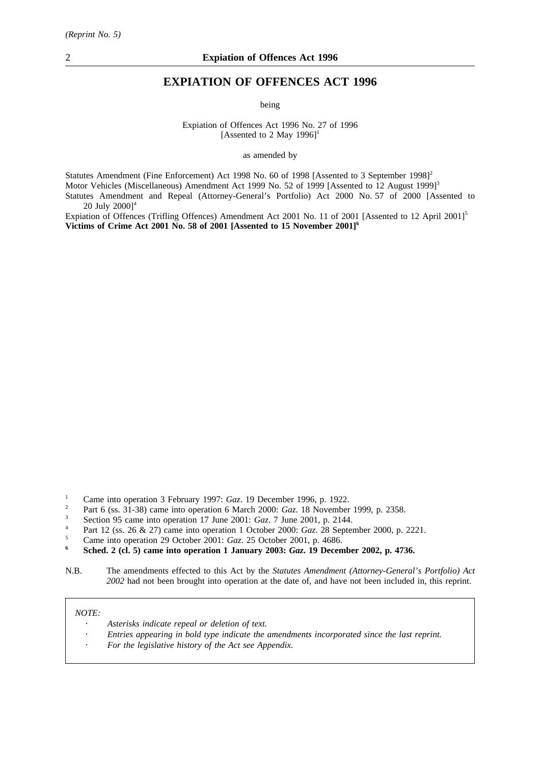# **EXPIATION OF OFFENCES ACT 1996**

being

Expiation of Offences Act 1996 No. 27 of 1996 [Assented to 2 May 1996]<sup>1</sup>

as amended by

Statutes Amendment (Fine Enforcement) Act 1998 No. 60 of 1998 [Assented to 3 September 1998]<sup>2</sup> Motor Vehicles (Miscellaneous) Amendment Act 1999 No. 52 of 1999 [Assented to 12 August 1999]<sup>3</sup> Statutes Amendment and Repeal (Attorney-General's Portfolio) Act 2000 No. 57 of 2000 [Assented to 20 July 2000]<sup>4</sup>

Expiation of Offences (Trifling Offences) Amendment Act 2001 No. 11 of 2001 [Assented to 12 April 2001]<sup>5</sup> **Victims of Crime Act 2001 No. 58 of 2001 [Assented to 15 November 2001]6**

- <sup>2</sup> Part 6 (ss. 31-38) came into operation 6 March 2000: *Gaz*. 18 November 1999, p. 2358.
- <sup>3</sup> Section 95 came into operation 17 June 2001: *Gaz*. 7 June 2001, p. 2144.
- <sup>4</sup> Part 12 (ss. 26 & 27) came into operation 1 October 2000: *Gaz*. 28 September 2000, p. 2221.
- <sup>5</sup> Came into operation 29 October 2001: *Gaz*. 25 October 2001, p. 4686.

# *NOTE:*

- *Asterisks indicate repeal or deletion of text.*
- *Entries appearing in bold type indicate the amendments incorporated since the last reprint.*
- *For the legislative history of the Act see Appendix.*

<sup>&</sup>lt;sup>1</sup> Came into operation 3 February 1997: *Gaz*. 19 December 1996, p. 1922.

**<sup>6</sup> Sched. 2 (cl. 5) came into operation 1 January 2003:** *Gaz***. 19 December 2002, p. 4736.**

N.B. The amendments effected to this Act by the *Statutes Amendment (Attorney-General's Portfolio) Act 2002* had not been brought into operation at the date of, and have not been included in, this reprint.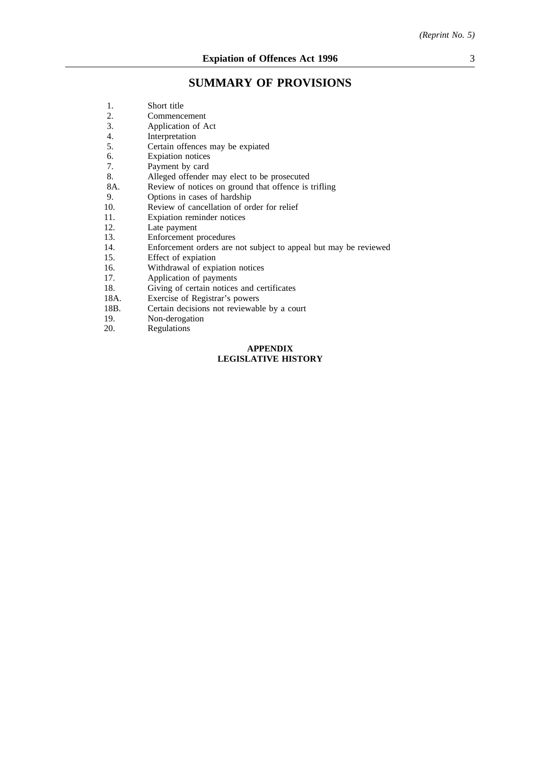# **SUMMARY OF PROVISIONS**

| 1.   | Short title                                                      |  |
|------|------------------------------------------------------------------|--|
| 2.   | Commencement                                                     |  |
| 3.   | Application of Act                                               |  |
| 4.   | Interpretation                                                   |  |
| 5.   | Certain offences may be expiated                                 |  |
| 6.   | Expiation notices                                                |  |
| 7.   | Payment by card                                                  |  |
| 8.   | Alleged offender may elect to be prosecuted                      |  |
| 8A.  | Review of notices on ground that offence is trifling             |  |
| 9.   | Options in cases of hardship                                     |  |
| 10.  | Review of cancellation of order for relief                       |  |
| 11.  | Expiation reminder notices                                       |  |
| 12.  | Late payment                                                     |  |
| 13.  | Enforcement procedures                                           |  |
| 14.  | Enforcement orders are not subject to appeal but may be reviewed |  |
| 15.  | Effect of expiation                                              |  |
| 16.  | Withdrawal of expiation notices                                  |  |
| 17.  | Application of payments                                          |  |
| 18.  | Giving of certain notices and certificates                       |  |
| 18A. | Exercise of Registrar's powers                                   |  |
| 18B. | Certain decisions not reviewable by a court                      |  |
| 19.  | Non-derogation                                                   |  |
| 20.  | Regulations                                                      |  |
|      | <b>APPENDIX</b>                                                  |  |
|      | <b>LEGISLATIVE HISTORY</b>                                       |  |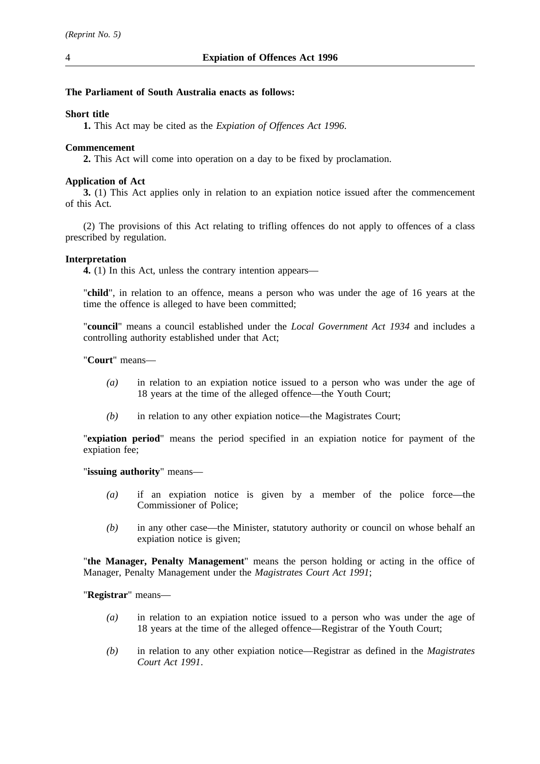# **The Parliament of South Australia enacts as follows:**

#### **Short title**

**1.** This Act may be cited as the *Expiation of Offences Act 1996*.

### **Commencement**

**2.** This Act will come into operation on a day to be fixed by proclamation.

### **Application of Act**

**3.** (1) This Act applies only in relation to an expiation notice issued after the commencement of this Act.

(2) The provisions of this Act relating to trifling offences do not apply to offences of a class prescribed by regulation.

#### **Interpretation**

**4.** (1) In this Act, unless the contrary intention appears—

"**child**", in relation to an offence, means a person who was under the age of 16 years at the time the offence is alleged to have been committed;

"**council**" means a council established under the *Local Government Act 1934* and includes a controlling authority established under that Act;

"**Court**" means—

- *(a)* in relation to an expiation notice issued to a person who was under the age of 18 years at the time of the alleged offence—the Youth Court;
- *(b)* in relation to any other expiation notice—the Magistrates Court;

"**expiation period**" means the period specified in an expiation notice for payment of the expiation fee;

"**issuing authority**" means—

- *(a)* if an expiation notice is given by a member of the police force—the Commissioner of Police;
- *(b)* in any other case—the Minister, statutory authority or council on whose behalf an expiation notice is given;

"**the Manager, Penalty Management**" means the person holding or acting in the office of Manager, Penalty Management under the *Magistrates Court Act 1991*;

"**Registrar**" means—

- *(a)* in relation to an expiation notice issued to a person who was under the age of 18 years at the time of the alleged offence—Registrar of the Youth Court;
- *(b)* in relation to any other expiation notice—Registrar as defined in the *Magistrates Court Act 1991*.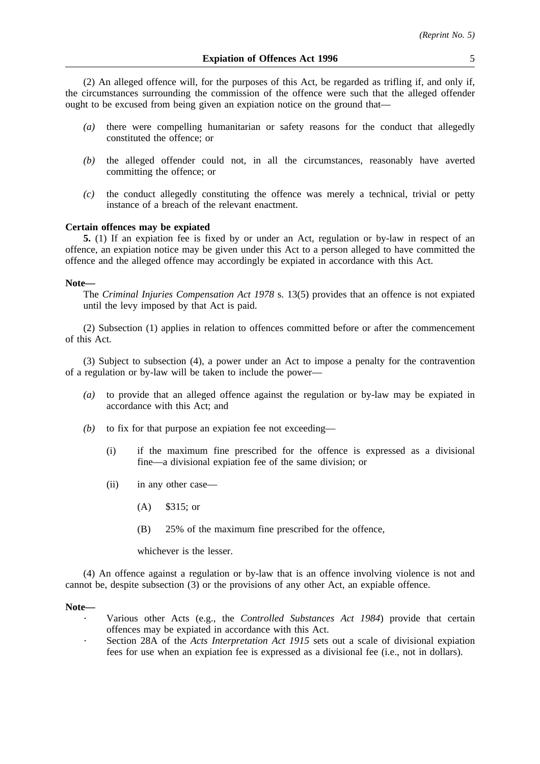(2) An alleged offence will, for the purposes of this Act, be regarded as trifling if, and only if, the circumstances surrounding the commission of the offence were such that the alleged offender ought to be excused from being given an expiation notice on the ground that—

- *(a)* there were compelling humanitarian or safety reasons for the conduct that allegedly constituted the offence; or
- *(b)* the alleged offender could not, in all the circumstances, reasonably have averted committing the offence; or
- *(c)* the conduct allegedly constituting the offence was merely a technical, trivial or petty instance of a breach of the relevant enactment.

#### **Certain offences may be expiated**

**5.** (1) If an expiation fee is fixed by or under an Act, regulation or by-law in respect of an offence, an expiation notice may be given under this Act to a person alleged to have committed the offence and the alleged offence may accordingly be expiated in accordance with this Act.

#### **Note—**

The *Criminal Injuries Compensation Act 1978* s. 13(5) provides that an offence is not expiated until the levy imposed by that Act is paid.

(2) Subsection (1) applies in relation to offences committed before or after the commencement of this Act.

(3) Subject to subsection (4), a power under an Act to impose a penalty for the contravention of a regulation or by-law will be taken to include the power—

- *(a)* to provide that an alleged offence against the regulation or by-law may be expiated in accordance with this Act; and
- *(b)* to fix for that purpose an expiation fee not exceeding—
	- (i) if the maximum fine prescribed for the offence is expressed as a divisional fine—a divisional expiation fee of the same division; or
	- (ii) in any other case—
		- (A) \$315; or
		- (B) 25% of the maximum fine prescribed for the offence,

whichever is the lesser.

(4) An offence against a regulation or by-law that is an offence involving violence is not and cannot be, despite subsection (3) or the provisions of any other Act, an expiable offence.

#### **Note—**

- Various other Acts (e.g., the *Controlled Substances Act 1984*) provide that certain offences may be expiated in accordance with this Act.
- Section 28A of the *Acts Interpretation Act 1915* sets out a scale of divisional expiation fees for use when an expiation fee is expressed as a divisional fee (i.e., not in dollars).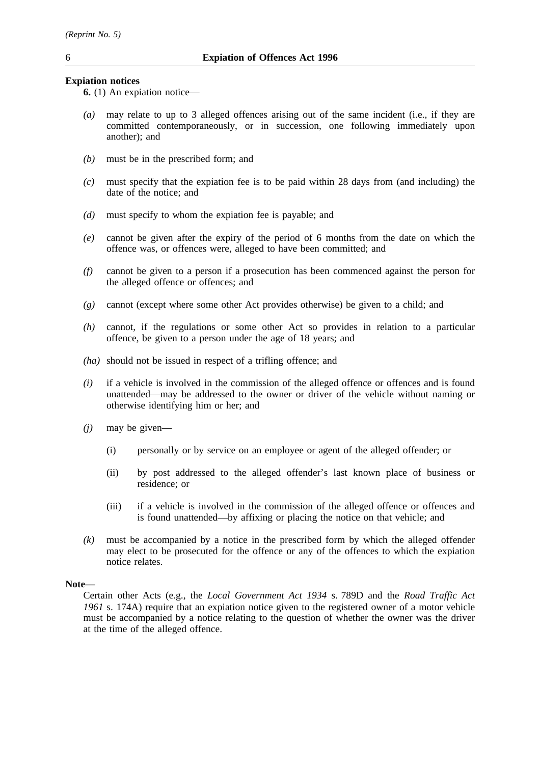# **Expiation notices**

**6.** (1) An expiation notice—

- *(a)* may relate to up to 3 alleged offences arising out of the same incident (i.e., if they are committed contemporaneously, or in succession, one following immediately upon another); and
- *(b)* must be in the prescribed form; and
- *(c)* must specify that the expiation fee is to be paid within 28 days from (and including) the date of the notice; and
- *(d)* must specify to whom the expiation fee is payable; and
- *(e)* cannot be given after the expiry of the period of 6 months from the date on which the offence was, or offences were, alleged to have been committed; and
- *(f)* cannot be given to a person if a prosecution has been commenced against the person for the alleged offence or offences; and
- *(g)* cannot (except where some other Act provides otherwise) be given to a child; and
- *(h)* cannot, if the regulations or some other Act so provides in relation to a particular offence, be given to a person under the age of 18 years; and
- *(ha)* should not be issued in respect of a trifling offence; and
- *(i)* if a vehicle is involved in the commission of the alleged offence or offences and is found unattended—may be addressed to the owner or driver of the vehicle without naming or otherwise identifying him or her; and
- *(j)* may be given—
	- (i) personally or by service on an employee or agent of the alleged offender; or
	- (ii) by post addressed to the alleged offender's last known place of business or residence; or
	- (iii) if a vehicle is involved in the commission of the alleged offence or offences and is found unattended—by affixing or placing the notice on that vehicle; and
- *(k)* must be accompanied by a notice in the prescribed form by which the alleged offender may elect to be prosecuted for the offence or any of the offences to which the expiation notice relates.

# **Note—**

Certain other Acts (e.g., the *Local Government Act 1934* s. 789D and the *Road Traffic Act 1961* s. 174A) require that an expiation notice given to the registered owner of a motor vehicle must be accompanied by a notice relating to the question of whether the owner was the driver at the time of the alleged offence.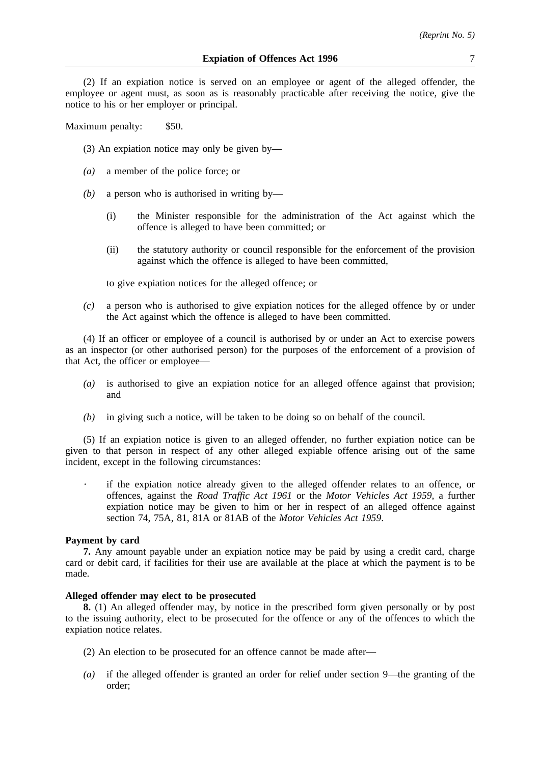(2) If an expiation notice is served on an employee or agent of the alleged offender, the employee or agent must, as soon as is reasonably practicable after receiving the notice, give the notice to his or her employer or principal.

Maximum penalty: \$50.

- (3) An expiation notice may only be given by—
- *(a)* a member of the police force; or
- *(b)* a person who is authorised in writing by—
	- (i) the Minister responsible for the administration of the Act against which the offence is alleged to have been committed; or
	- (ii) the statutory authority or council responsible for the enforcement of the provision against which the offence is alleged to have been committed,

to give expiation notices for the alleged offence; or

*(c)* a person who is authorised to give expiation notices for the alleged offence by or under the Act against which the offence is alleged to have been committed.

(4) If an officer or employee of a council is authorised by or under an Act to exercise powers as an inspector (or other authorised person) for the purposes of the enforcement of a provision of that Act, the officer or employee—

- *(a)* is authorised to give an expiation notice for an alleged offence against that provision; and
- *(b)* in giving such a notice, will be taken to be doing so on behalf of the council.

(5) If an expiation notice is given to an alleged offender, no further expiation notice can be given to that person in respect of any other alleged expiable offence arising out of the same incident, except in the following circumstances:

if the expiation notice already given to the alleged offender relates to an offence, or offences, against the *Road Traffic Act 1961* or the *Motor Vehicles Act 1959*, a further expiation notice may be given to him or her in respect of an alleged offence against section 74, 75A, 81, 81A or 81AB of the *Motor Vehicles Act 1959*.

# **Payment by card**

**7.** Any amount payable under an expiation notice may be paid by using a credit card, charge card or debit card, if facilities for their use are available at the place at which the payment is to be made.

# **Alleged offender may elect to be prosecuted**

**8.** (1) An alleged offender may, by notice in the prescribed form given personally or by post to the issuing authority, elect to be prosecuted for the offence or any of the offences to which the expiation notice relates.

- (2) An election to be prosecuted for an offence cannot be made after—
- *(a)* if the alleged offender is granted an order for relief under section 9—the granting of the order;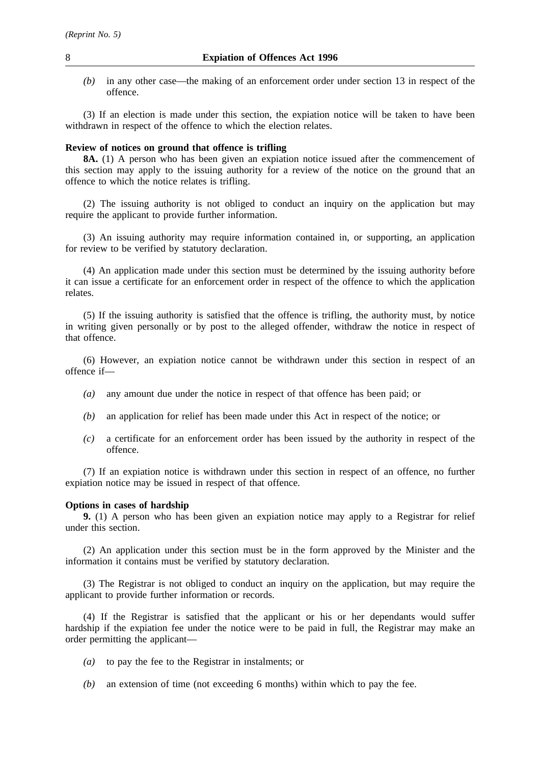*(b)* in any other case—the making of an enforcement order under section 13 in respect of the offence.

(3) If an election is made under this section, the expiation notice will be taken to have been withdrawn in respect of the offence to which the election relates.

# **Review of notices on ground that offence is trifling**

**8A.** (1) A person who has been given an expiation notice issued after the commencement of this section may apply to the issuing authority for a review of the notice on the ground that an offence to which the notice relates is trifling.

(2) The issuing authority is not obliged to conduct an inquiry on the application but may require the applicant to provide further information.

(3) An issuing authority may require information contained in, or supporting, an application for review to be verified by statutory declaration.

(4) An application made under this section must be determined by the issuing authority before it can issue a certificate for an enforcement order in respect of the offence to which the application relates.

(5) If the issuing authority is satisfied that the offence is trifling, the authority must, by notice in writing given personally or by post to the alleged offender, withdraw the notice in respect of that offence.

(6) However, an expiation notice cannot be withdrawn under this section in respect of an offence if—

- *(a)* any amount due under the notice in respect of that offence has been paid; or
- *(b)* an application for relief has been made under this Act in respect of the notice; or
- *(c)* a certificate for an enforcement order has been issued by the authority in respect of the offence.

(7) If an expiation notice is withdrawn under this section in respect of an offence, no further expiation notice may be issued in respect of that offence.

## **Options in cases of hardship**

**9.** (1) A person who has been given an expiation notice may apply to a Registrar for relief under this section.

(2) An application under this section must be in the form approved by the Minister and the information it contains must be verified by statutory declaration.

(3) The Registrar is not obliged to conduct an inquiry on the application, but may require the applicant to provide further information or records.

(4) If the Registrar is satisfied that the applicant or his or her dependants would suffer hardship if the expiation fee under the notice were to be paid in full, the Registrar may make an order permitting the applicant—

- *(a)* to pay the fee to the Registrar in instalments; or
- *(b)* an extension of time (not exceeding 6 months) within which to pay the fee.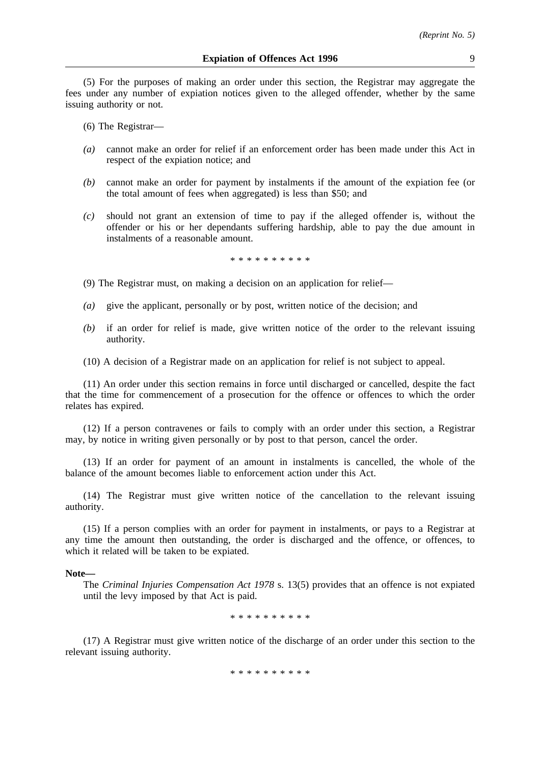(5) For the purposes of making an order under this section, the Registrar may aggregate the fees under any number of expiation notices given to the alleged offender, whether by the same issuing authority or not.

(6) The Registrar—

- *(a)* cannot make an order for relief if an enforcement order has been made under this Act in respect of the expiation notice; and
- *(b)* cannot make an order for payment by instalments if the amount of the expiation fee (or the total amount of fees when aggregated) is less than \$50; and
- *(c)* should not grant an extension of time to pay if the alleged offender is, without the offender or his or her dependants suffering hardship, able to pay the due amount in instalments of a reasonable amount.

\*\*\*\*\*\*\*\*\*\*

- (9) The Registrar must, on making a decision on an application for relief—
- *(a)* give the applicant, personally or by post, written notice of the decision; and
- *(b)* if an order for relief is made, give written notice of the order to the relevant issuing authority.
- (10) A decision of a Registrar made on an application for relief is not subject to appeal.

(11) An order under this section remains in force until discharged or cancelled, despite the fact that the time for commencement of a prosecution for the offence or offences to which the order relates has expired.

(12) If a person contravenes or fails to comply with an order under this section, a Registrar may, by notice in writing given personally or by post to that person, cancel the order.

(13) If an order for payment of an amount in instalments is cancelled, the whole of the balance of the amount becomes liable to enforcement action under this Act.

(14) The Registrar must give written notice of the cancellation to the relevant issuing authority.

(15) If a person complies with an order for payment in instalments, or pays to a Registrar at any time the amount then outstanding, the order is discharged and the offence, or offences, to which it related will be taken to be expiated.

#### **Note—**

The *Criminal Injuries Compensation Act 1978* s. 13(5) provides that an offence is not expiated until the levy imposed by that Act is paid.

\*\*\*\*\*\*\*\*\*\*

(17) A Registrar must give written notice of the discharge of an order under this section to the relevant issuing authority.

\*\*\*\*\*\*\*\*\*\*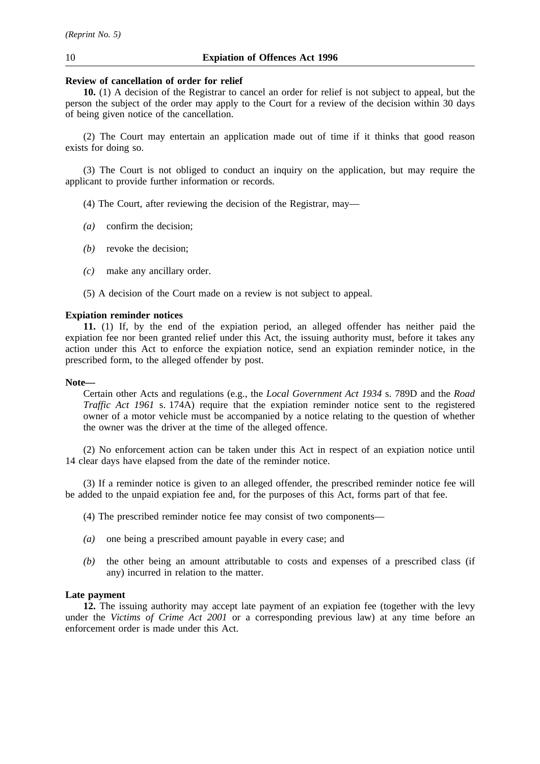# **Review of cancellation of order for relief**

**10.** (1) A decision of the Registrar to cancel an order for relief is not subject to appeal, but the person the subject of the order may apply to the Court for a review of the decision within 30 days of being given notice of the cancellation.

(2) The Court may entertain an application made out of time if it thinks that good reason exists for doing so.

(3) The Court is not obliged to conduct an inquiry on the application, but may require the applicant to provide further information or records.

(4) The Court, after reviewing the decision of the Registrar, may—

- *(a)* confirm the decision;
- *(b)* revoke the decision;
- *(c)* make any ancillary order.
- (5) A decision of the Court made on a review is not subject to appeal.

# **Expiation reminder notices**

**11.** (1) If, by the end of the expiation period, an alleged offender has neither paid the expiation fee nor been granted relief under this Act, the issuing authority must, before it takes any action under this Act to enforce the expiation notice, send an expiation reminder notice, in the prescribed form, to the alleged offender by post.

### **Note—**

Certain other Acts and regulations (e.g., the *Local Government Act 1934* s. 789D and the *Road Traffic Act 1961* s. 174A) require that the expiation reminder notice sent to the registered owner of a motor vehicle must be accompanied by a notice relating to the question of whether the owner was the driver at the time of the alleged offence.

(2) No enforcement action can be taken under this Act in respect of an expiation notice until 14 clear days have elapsed from the date of the reminder notice.

(3) If a reminder notice is given to an alleged offender, the prescribed reminder notice fee will be added to the unpaid expiation fee and, for the purposes of this Act, forms part of that fee.

- (4) The prescribed reminder notice fee may consist of two components—
- *(a)* one being a prescribed amount payable in every case; and
- *(b)* the other being an amount attributable to costs and expenses of a prescribed class (if any) incurred in relation to the matter.

# **Late payment**

**12.** The issuing authority may accept late payment of an expiation fee (together with the levy under the *Victims of Crime Act 2001* or a corresponding previous law) at any time before an enforcement order is made under this Act.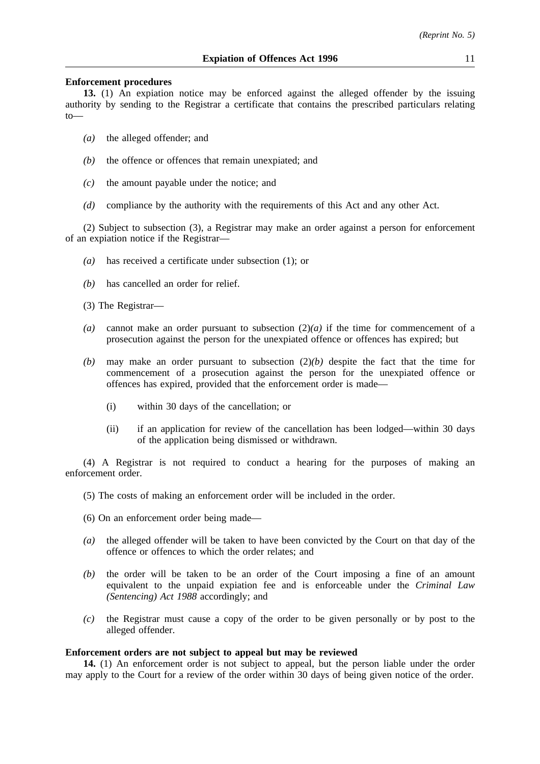# **Enforcement procedures**

**13.** (1) An expiation notice may be enforced against the alleged offender by the issuing authority by sending to the Registrar a certificate that contains the prescribed particulars relating to—

- *(a)* the alleged offender; and
- *(b)* the offence or offences that remain unexpiated; and
- *(c)* the amount payable under the notice; and
- *(d)* compliance by the authority with the requirements of this Act and any other Act.

(2) Subject to subsection (3), a Registrar may make an order against a person for enforcement of an expiation notice if the Registrar—

- *(a)* has received a certificate under subsection (1); or
- *(b)* has cancelled an order for relief.

(3) The Registrar—

- *(a)* cannot make an order pursuant to subsection (2)*(a)* if the time for commencement of a prosecution against the person for the unexpiated offence or offences has expired; but
- *(b)* may make an order pursuant to subsection (2)*(b)* despite the fact that the time for commencement of a prosecution against the person for the unexpiated offence or offences has expired, provided that the enforcement order is made—
	- (i) within 30 days of the cancellation; or
	- (ii) if an application for review of the cancellation has been lodged—within 30 days of the application being dismissed or withdrawn.

(4) A Registrar is not required to conduct a hearing for the purposes of making an enforcement order.

- (5) The costs of making an enforcement order will be included in the order.
- (6) On an enforcement order being made—
- *(a)* the alleged offender will be taken to have been convicted by the Court on that day of the offence or offences to which the order relates; and
- *(b)* the order will be taken to be an order of the Court imposing a fine of an amount equivalent to the unpaid expiation fee and is enforceable under the *Criminal Law (Sentencing) Act 1988* accordingly; and
- *(c)* the Registrar must cause a copy of the order to be given personally or by post to the alleged offender.

# **Enforcement orders are not subject to appeal but may be reviewed**

**14.** (1) An enforcement order is not subject to appeal, but the person liable under the order may apply to the Court for a review of the order within 30 days of being given notice of the order.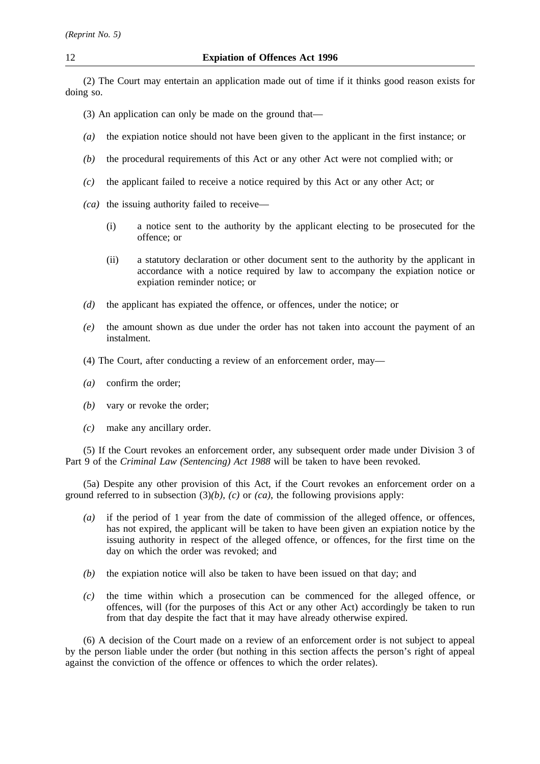(2) The Court may entertain an application made out of time if it thinks good reason exists for doing so.

- (3) An application can only be made on the ground that—
- *(a)* the expiation notice should not have been given to the applicant in the first instance; or
- *(b)* the procedural requirements of this Act or any other Act were not complied with; or
- *(c)* the applicant failed to receive a notice required by this Act or any other Act; or
- *(ca)* the issuing authority failed to receive—
	- (i) a notice sent to the authority by the applicant electing to be prosecuted for the offence; or
	- (ii) a statutory declaration or other document sent to the authority by the applicant in accordance with a notice required by law to accompany the expiation notice or expiation reminder notice; or
- *(d)* the applicant has expiated the offence, or offences, under the notice; or
- *(e)* the amount shown as due under the order has not taken into account the payment of an instalment.
- (4) The Court, after conducting a review of an enforcement order, may—
- *(a)* confirm the order;
- *(b)* vary or revoke the order;
- *(c)* make any ancillary order.

(5) If the Court revokes an enforcement order, any subsequent order made under Division 3 of Part 9 of the *Criminal Law (Sentencing) Act 1988* will be taken to have been revoked.

(5a) Despite any other provision of this Act, if the Court revokes an enforcement order on a ground referred to in subsection (3)*(b)*, *(c)* or *(ca)*, the following provisions apply:

- *(a)* if the period of 1 year from the date of commission of the alleged offence, or offences, has not expired, the applicant will be taken to have been given an expiation notice by the issuing authority in respect of the alleged offence, or offences, for the first time on the day on which the order was revoked; and
- *(b)* the expiation notice will also be taken to have been issued on that day; and
- *(c)* the time within which a prosecution can be commenced for the alleged offence, or offences, will (for the purposes of this Act or any other Act) accordingly be taken to run from that day despite the fact that it may have already otherwise expired.

(6) A decision of the Court made on a review of an enforcement order is not subject to appeal by the person liable under the order (but nothing in this section affects the person's right of appeal against the conviction of the offence or offences to which the order relates).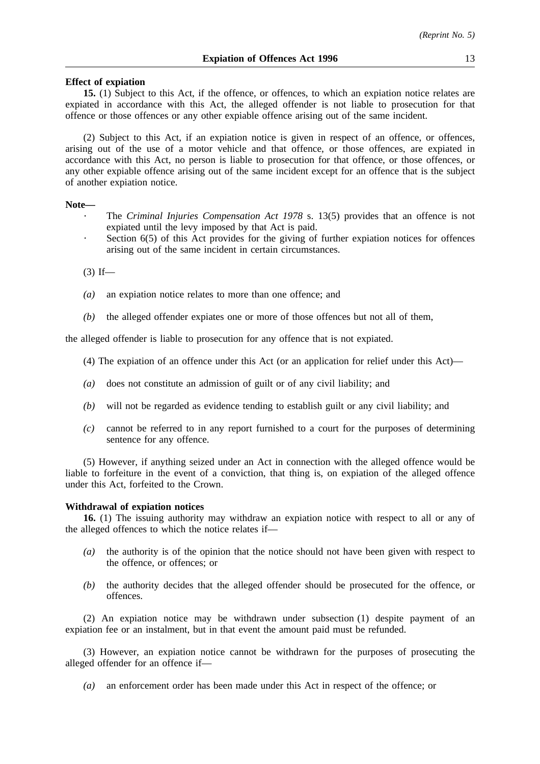# **Effect of expiation**

**15.** (1) Subject to this Act, if the offence, or offences, to which an expiation notice relates are expiated in accordance with this Act, the alleged offender is not liable to prosecution for that offence or those offences or any other expiable offence arising out of the same incident.

(2) Subject to this Act, if an expiation notice is given in respect of an offence, or offences, arising out of the use of a motor vehicle and that offence, or those offences, are expiated in accordance with this Act, no person is liable to prosecution for that offence, or those offences, or any other expiable offence arising out of the same incident except for an offence that is the subject of another expiation notice.

#### **Note—**

- The *Criminal Injuries Compensation Act 1978* s. 13(5) provides that an offence is not expiated until the levy imposed by that Act is paid.
- Section 6(5) of this Act provides for the giving of further expiation notices for offences arising out of the same incident in certain circumstances.

 $(3)$  If—

- *(a)* an expiation notice relates to more than one offence; and
- *(b)* the alleged offender expiates one or more of those offences but not all of them,

the alleged offender is liable to prosecution for any offence that is not expiated.

- (4) The expiation of an offence under this Act (or an application for relief under this Act)—
- *(a)* does not constitute an admission of guilt or of any civil liability; and
- *(b)* will not be regarded as evidence tending to establish guilt or any civil liability; and
- *(c)* cannot be referred to in any report furnished to a court for the purposes of determining sentence for any offence.

(5) However, if anything seized under an Act in connection with the alleged offence would be liable to forfeiture in the event of a conviction, that thing is, on expiation of the alleged offence under this Act, forfeited to the Crown.

#### **Withdrawal of expiation notices**

**16.** (1) The issuing authority may withdraw an expiation notice with respect to all or any of the alleged offences to which the notice relates if—

- *(a)* the authority is of the opinion that the notice should not have been given with respect to the offence, or offences; or
- *(b)* the authority decides that the alleged offender should be prosecuted for the offence, or offences.

(2) An expiation notice may be withdrawn under subsection (1) despite payment of an expiation fee or an instalment, but in that event the amount paid must be refunded.

(3) However, an expiation notice cannot be withdrawn for the purposes of prosecuting the alleged offender for an offence if—

*(a)* an enforcement order has been made under this Act in respect of the offence; or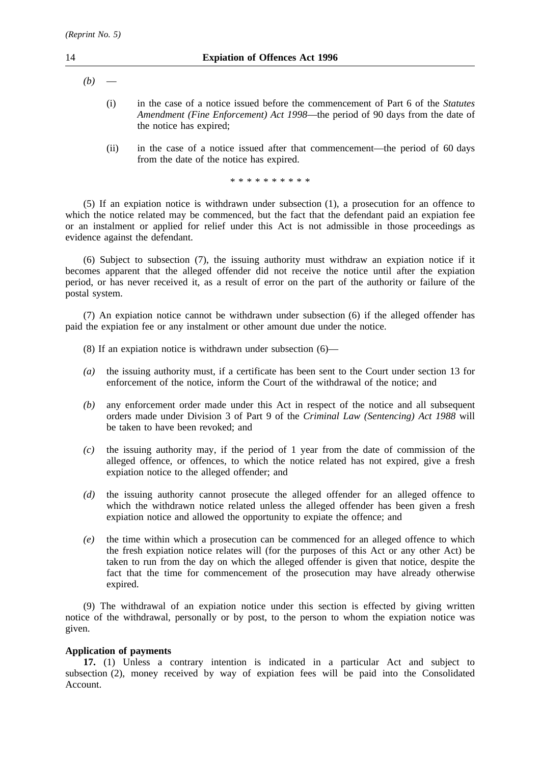- $(b)$ 
	- (i) in the case of a notice issued before the commencement of Part 6 of the *Statutes Amendment (Fine Enforcement) Act 1998*—the period of 90 days from the date of the notice has expired;
	- (ii) in the case of a notice issued after that commencement—the period of 60 days from the date of the notice has expired.

\*\*\*\*\*\*\*\*\*\*

(5) If an expiation notice is withdrawn under subsection (1), a prosecution for an offence to which the notice related may be commenced, but the fact that the defendant paid an expiation fee or an instalment or applied for relief under this Act is not admissible in those proceedings as evidence against the defendant.

(6) Subject to subsection (7), the issuing authority must withdraw an expiation notice if it becomes apparent that the alleged offender did not receive the notice until after the expiation period, or has never received it, as a result of error on the part of the authority or failure of the postal system.

(7) An expiation notice cannot be withdrawn under subsection (6) if the alleged offender has paid the expiation fee or any instalment or other amount due under the notice.

- (8) If an expiation notice is withdrawn under subsection (6)—
- *(a)* the issuing authority must, if a certificate has been sent to the Court under section 13 for enforcement of the notice, inform the Court of the withdrawal of the notice; and
- *(b)* any enforcement order made under this Act in respect of the notice and all subsequent orders made under Division 3 of Part 9 of the *Criminal Law (Sentencing) Act 1988* will be taken to have been revoked; and
- *(c)* the issuing authority may, if the period of 1 year from the date of commission of the alleged offence, or offences, to which the notice related has not expired, give a fresh expiation notice to the alleged offender; and
- *(d)* the issuing authority cannot prosecute the alleged offender for an alleged offence to which the withdrawn notice related unless the alleged offender has been given a fresh expiation notice and allowed the opportunity to expiate the offence; and
- *(e)* the time within which a prosecution can be commenced for an alleged offence to which the fresh expiation notice relates will (for the purposes of this Act or any other Act) be taken to run from the day on which the alleged offender is given that notice, despite the fact that the time for commencement of the prosecution may have already otherwise expired.

(9) The withdrawal of an expiation notice under this section is effected by giving written notice of the withdrawal, personally or by post, to the person to whom the expiation notice was given.

# **Application of payments**

**17.** (1) Unless a contrary intention is indicated in a particular Act and subject to subsection (2), money received by way of expiation fees will be paid into the Consolidated Account.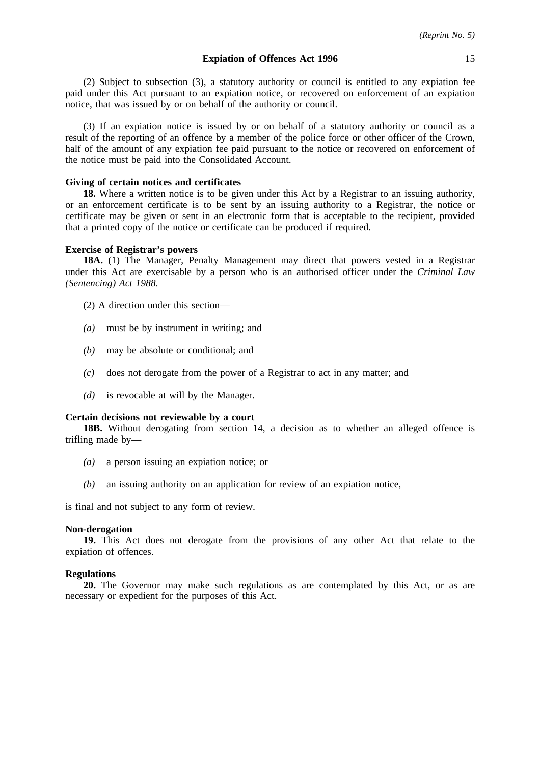(2) Subject to subsection (3), a statutory authority or council is entitled to any expiation fee paid under this Act pursuant to an expiation notice, or recovered on enforcement of an expiation notice, that was issued by or on behalf of the authority or council.

(3) If an expiation notice is issued by or on behalf of a statutory authority or council as a result of the reporting of an offence by a member of the police force or other officer of the Crown, half of the amount of any expiation fee paid pursuant to the notice or recovered on enforcement of the notice must be paid into the Consolidated Account.

# **Giving of certain notices and certificates**

**18.** Where a written notice is to be given under this Act by a Registrar to an issuing authority, or an enforcement certificate is to be sent by an issuing authority to a Registrar, the notice or certificate may be given or sent in an electronic form that is acceptable to the recipient, provided that a printed copy of the notice or certificate can be produced if required.

#### **Exercise of Registrar's powers**

**18A.** (1) The Manager, Penalty Management may direct that powers vested in a Registrar under this Act are exercisable by a person who is an authorised officer under the *Criminal Law (Sentencing) Act 1988*.

- (2) A direction under this section—
- *(a)* must be by instrument in writing; and
- *(b)* may be absolute or conditional; and
- *(c)* does not derogate from the power of a Registrar to act in any matter; and
- *(d)* is revocable at will by the Manager.

# **Certain decisions not reviewable by a court**

**18B.** Without derogating from section 14, a decision as to whether an alleged offence is trifling made by—

- *(a)* a person issuing an expiation notice; or
- *(b)* an issuing authority on an application for review of an expiation notice,

is final and not subject to any form of review.

# **Non-derogation**

**19.** This Act does not derogate from the provisions of any other Act that relate to the expiation of offences.

# **Regulations**

**20.** The Governor may make such regulations as are contemplated by this Act, or as are necessary or expedient for the purposes of this Act.